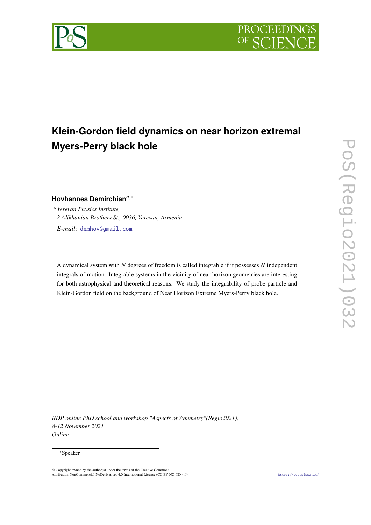

# **Klein-Gordon field dynamics on near horizon extremal Myers-Perry black hole**

# **Hovhannes Demirchian**,<sup>∗</sup>

*Yerevan Physics Institute, 2 Alikhanian Brothers St., 0036, Yerevan, Armenia E-mail:* [demhov@gmail.com](mailto:demhov@gmail.com)

A dynamical system with  $N$  degrees of freedom is called integrable if it possesses  $N$  independent integrals of motion. Integrable systems in the vicinity of near horizon geometries are interesting for both astrophysical and theoretical reasons. We study the integrability of probe particle and Klein-Gordon field on the background of Near Horizon Extreme Myers-Perry black hole.

*RDP online PhD school and workshop "Aspects of Symmetry"(Regio2021), 8-12 November 2021 Online*

#### <sup>∗</sup>Speaker

© Copyright owned by the author(s) under the terms of the Creative Commons Attribution-NonCommercial-NoDerivatives 4.0 International License (CC BY-NC-ND 4.0). <https://pos.sissa.it/>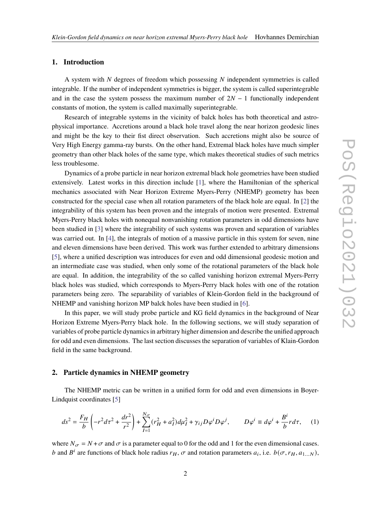#### **1. Introduction**

A system with  $N$  degrees of freedom which possessing  $N$  independent symmetries is called integrable. If the number of independent symmetries is bigger, the system is called superintegrable and in the case the system possess the maximum number of  $2N - 1$  functionally independent constants of motion, the system is called maximally superintegrable.

Research of integrable systems in the vicinity of balck holes has both theoretical and astrophysical importance. Accretions around a black hole travel along the near horizon geodesic lines and might be the key to their fist direct observation. Such accretions might also be source of Very High Energy gamma-ray bursts. On the other hand, Extremal black holes have much simpler geometry than other black holes of the same type, which makes theoretical studies of such metrics less troublesome.

Dynamics of a probe particle in near horizon extremal black hole geometries have been studied extensively. Latest works in this direction include [\[1\]](#page-6-0), where the Hamiltonian of the spherical mechanics associated with Near Horizon Extreme Myers-Perry (NHEMP) geometry has been constructed for the special case when all rotation parameters of the black hole are equal. In [\[2\]](#page-6-1) the integrability of this system has been proven and the integrals of motion were presented. Extremal Myers-Perry black holes with nonequal nonvanishing rotation parameters in odd dimensions have been studied in [\[3\]](#page-6-2) where the integrability of such systems was proven and separation of variables was carried out. In [\[4\]](#page-6-3), the integrals of motion of a massive particle in this system for seven, nine and eleven dimensions have been derived. This work was further extended to arbitrary dimensions [\[5\]](#page-6-4), where a unified description was introduces for even and odd dimensional geodesic motion and an intermediate case was studied, when only some of the rotational parameters of the black hole are equal. In addition, the integrability of the so called vanishing horizon extremal Myers-Perry black holes was studied, which corresponds to Myers-Perry black holes with one of the rotation parameters being zero. The separability of variables of Klein-Gordon field in the background of NHEMP and vanishing horizon MP balck holes have been studied in [\[6\]](#page-6-5).

In this paper, we will study probe particle and KG field dynamics in the background of Near Horizon Extreme Myers-Perry black hole. In the following sections, we will study separation of variables of probe particle dynamics in arbitrary higher dimension and describe the unified approach for odd and even dimensions. The last section discusses the separation of variables of Klain-Gordon field in the same background.

# **2. Particle dynamics in NHEMP geometry**

The NHEMP metric can be written in a unified form for odd and even dimensions in Boyer-Lindquist coordinates [\[5\]](#page-6-4)

$$
ds^{2} = \frac{F_{H}}{b} \left( -r^{2} d\tau^{2} + \frac{dr^{2}}{r^{2}} \right) + \sum_{I=1}^{N_{\sigma}} (r_{H}^{2} + a_{I}^{2}) d\mu_{I}^{2} + \gamma_{ij} D\varphi^{i} D\varphi^{j}, \qquad D\varphi^{i} \equiv d\varphi^{i} + \frac{B^{i}}{b} r d\tau, \qquad (1)
$$

where  $N_{\sigma} = N + \sigma$  and  $\sigma$  is a parameter equal to 0 for the odd and 1 for the even dimensional cases. b and  $B^i$  are functions of black hole radius  $r_H$ ,  $\sigma$  and rotation parameters  $a_i$ , i.e.  $b(\sigma, r_H, a_{1...N})$ ,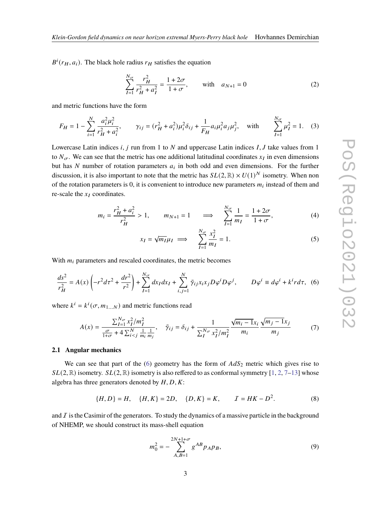$B^i(r_H, a_i)$ . The black hole radius  $r_H$  satisfies the equation

$$
\sum_{I=1}^{N_{\sigma}} \frac{r_H^2}{r_H^2 + a_I^2} = \frac{1 + 2\sigma}{1 + \sigma}, \quad \text{with} \quad a_{N+1} = 0 \tag{2}
$$

and metric functions have the form

$$
F_H = 1 - \sum_{i=1}^{N} \frac{a_i^2 \mu_i^2}{r_H^2 + a_i^2}, \qquad \gamma_{ij} = (r_H^2 + a_i^2) \mu_i^2 \delta_{ij} + \frac{1}{F_H} a_i \mu_i^2 a_j \mu_j^2, \quad \text{with} \qquad \sum_{I=1}^{N_{\sigma}} \mu_I^2 = 1. \tag{3}
$$

Lowercase Latin indices *i*, *j* run from 1 to *N* and uppercase Latin indices *I*, *J* take values from 1 to  $N_{\sigma}$ . We can see that the metric has one additional latitudinal coordinates  $x_I$  in even dimensions but has N number of rotation parameters  $a_i$  in both odd and even dimensions. For the further discussion, it is also important to note that the metric has  $SL(2,\mathbb{R}) \times U(1)^N$  isometry. When non of the rotation parameters is 0, it is convenient to introduce new parameters  $m_i$  instead of them and re-scale the  $x_I$  coordinates.

$$
m_{i} = \frac{r_{H}^{2} + a_{i}^{2}}{r_{H}^{2}} > 1, \qquad m_{N+1} = 1 \qquad \Longrightarrow \qquad \sum_{I=1}^{N_{\sigma}} \frac{1}{m_{I}} = \frac{1 + 2\sigma}{1 + \sigma}, \tag{4}
$$

$$
x_I = \sqrt{m_I} \mu_I \implies \sum_{I=1}^{N_{\sigma}} \frac{x_I^2}{m_I} = 1. \tag{5}
$$

With  $m_i$  parameters and rescaled coordinates, the metric becomes

<span id="page-2-0"></span>
$$
\frac{ds^2}{r_H^2} = A(x) \left( -r^2 dr^2 + \frac{dr^2}{r^2} \right) + \sum_{I=1}^{N_{\sigma}} dx_I dx_I + \sum_{i,j=1}^{N} \tilde{\gamma}_{ij} x_i x_j D\varphi^i D\varphi^j, \qquad D\varphi^i \equiv d\varphi^i + k^i r d\tau, \tag{6}
$$

where  $k^i = k^i(\sigma, m_{1...N})$  and metric functions read

$$
A(x) = \frac{\sum_{I=1}^{N_{\sigma}} x_I^2 / m_I^2}{\frac{\sigma}{1 + \sigma} + 4 \sum_{i < j}^N \frac{1}{m_i} \frac{1}{m_j}}, \quad \tilde{\gamma}_{ij} = \delta_{ij} + \frac{1}{\sum_{I}^{N_{\sigma}} x_I^2 / m_I^2} \frac{\sqrt{m_i - 1} x_i}{m_i} \frac{\sqrt{m_j - 1} x_j}{m_j} \tag{7}
$$

### **2.1 Angular mechanics**

We can see that part of the [\(6\)](#page-2-0) geometry has the form of  $AdS_2$  metric which gives rise to  $SL(2, \mathbb{R})$  $SL(2, \mathbb{R})$  $SL(2, \mathbb{R})$  isometry.  $SL(2, \mathbb{R})$  isometry is also reffered to as conformal symmetry [\[1,](#page-6-0) 2, [7](#page-6-6)[–13\]](#page-7-0) whose algebra has three generators denoted by  $H, D, K$ :

$$
\{H, D\} = H, \quad \{H, K\} = 2D, \quad \{D, K\} = K, \qquad \mathcal{I} = HK - D^2. \tag{8}
$$

and  $\overline{I}$  is the Casimir of the generators. To study the dynamics of a massive particle in the background of NHEMP, we should construct its mass-shell equation

$$
m_0^2 = -\sum_{A,B=1}^{2N+1+\sigma} g^{AB} p_A p_B,
$$
\n(9)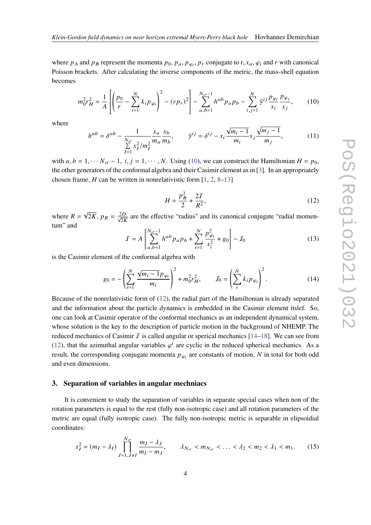where  $p_A$  and  $p_B$  represent the momenta  $p_0$ ,  $p_a$ ,  $p_{\varphi_i}$ ,  $p_r$  conjugate to  $t$ ,  $x_a$ ,  $\varphi_i$  and  $r$  with canonical Poisson brackets. After calculating the inverse components of the metric, the mass-shell equation becomes

<span id="page-3-0"></span>
$$
m_0^2 r_H^2 = \frac{1}{A} \left[ \left( \frac{p_0}{r} - \sum_{i=1}^N k_i p_{\varphi_i} \right)^2 - (r p_r)^2 \right] - \sum_{a,b=1}^{N_{\sigma}-1} h^{ab} p_a p_b - \sum_{i,j=1}^N \tilde{\gamma}^{ij} \frac{p_{\varphi_i}}{x_i} \frac{p_{\varphi_j}}{x_j},\tag{10}
$$

where

$$
h^{ab} = \delta^{ab} - \frac{1}{\sum_{I=1}^{N_{\sigma}} x_I^2 / m_I^2} \frac{x_a}{m_a} \frac{x_b}{m_b}, \qquad \tilde{\gamma}^{ij} = \delta^{ij} - x_i \frac{\sqrt{m_i - 1}}{m_i} x_j \frac{\sqrt{m_j - 1}}{m_j},
$$
(11)

with  $a, b = 1, \dots N_{\sigma} - 1$ ,  $i, j = 1, \dots, N$ . Using [\(10\)](#page-3-0), we can construct the Hamiltonian  $H = p_0$ , the other generators of the conformal algebra and their Casimir element as in [\[3\]](#page-6-2). In an appropriately chosen frame, *H* can be written in nonrelativistic form  $[1, 2, 8-13]$  $[1, 2, 8-13]$  $[1, 2, 8-13]$  $[1, 2, 8-13]$  $[1, 2, 8-13]$ 

<span id="page-3-1"></span>
$$
H = \frac{p_R^2}{2} + \frac{2I}{R^2},\tag{12}
$$

where  $R = \sqrt{2K}$ ,  $p_R = \frac{2D}{\sqrt{2K}}$  are the effective "radius" and its canonical conjugate "radial momentum" and

$$
I = A \left[ \sum_{a,b=1}^{N_{\sigma}-1} h^{ab} p_a p_b + \sum_{i=1}^{N} \frac{p_{\varphi_i}^2}{x_i^2} + g_0 \right] - I_0 \tag{13}
$$

is the Casimir element of the conformal algebra with

$$
g_0 = -\left(\sum_{i=1}^N \frac{\sqrt{m_i - 1} p_{\varphi_i}}{m_i}\right)^2 + m_0^2 r_H^2, \qquad J_0 = \left(\sum_i^N k_i p_{\varphi_i}\right)^2.
$$
 (14)

Because of the nonrelativistic form of [\(12\)](#page-3-1), the radial part of the Hamiltonian is already separated and the information about the particle dynamics is embedded in the Casimir element itslef. So, one can look at Casimir operator of the conformal mechanics as an independent dynamical system, whose solution is the key to the description of particle motion in the background of NHEMP. The reduced mechanics of Casimir I is called angular or sperical mechanics  $[14–18]$  $[14–18]$ . We can see from [\(12\)](#page-3-1), that the azimuthal angular variables  $\varphi^{i}$  are cyclic in the reduced spherical mechanics. As a result, the corresponding conjugate momenta  $p_{\varphi_i}$  are constants of motion, N in total for both odd and even dimensions.

#### **3. Separation of variables in angular mechniacs**

It is convenient to study the separation of variables in separate special cases when non of the rotation parameters is equal to the rest (fully non-isotropic case) and all rotation parameters of the metric are equal (fully isotropic case). The fully non-isotropic metric is separable in elipsoidial coordinates:

$$
x_I^2 = (m_I - \lambda_I) \prod_{J=1, J \neq I}^{N_{\sigma}} \frac{m_I - \lambda_J}{m_I - m_J}, \qquad \lambda_{N_{\sigma}} < m_{N_{\sigma}} < \dots < \lambda_2 < m_2 < \lambda_1 < m_1.
$$
 (15)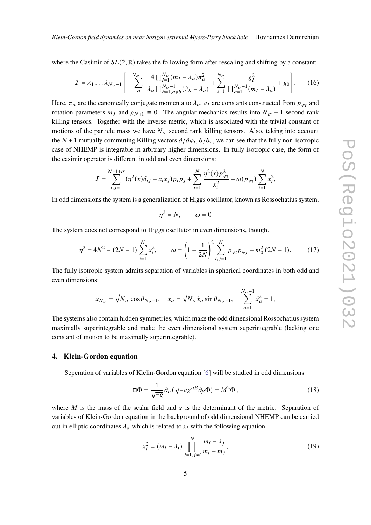where the Casimir of  $SL(2,\mathbb{R})$  takes the following form after rescaling and shifting by a constant:

$$
I = \lambda_1 \dots \lambda_{N_{\sigma}-1} \left[ -\sum_{a}^{N_{\sigma}-1} \frac{4 \prod_{I=1}^{N_{\sigma}} (m_I - \lambda_a) \pi_a^2}{\lambda_a \prod_{b=1, a \neq b}^{N_{\sigma}-1} (\lambda_b - \lambda_a)} + \sum_{i=1}^{N_{\sigma}} \frac{g_I^2}{\prod_{a=1}^{N_{\sigma}-1} (m_I - \lambda_a)} + g_0 \right].
$$
 (16)

Here,  $\pi_a$  are the canonically conjugate momenta to  $\lambda_b$ ,  $g_I$  are constants constructed from  $p_{\varphi_I}$  and rotation parameters  $m<sub>J</sub>$  and  $g<sub>N+1</sub> \equiv 0$ . The angular mechanics results into  $N<sub>\sigma</sub> - 1$  second rank killing tensors. Together with the inverse metric, which is associated with the trivial constant of motions of the particle mass we have  $N_{\sigma}$  second rank killing tensors. Also, taking into account the N + 1 mutually commuting Killing vectors  $\partial/\partial\varphi_i$ ,  $\partial/\partial_\tau$ , we can see that the fully non-isotropic case of NHEMP is integrable in arbitrary higher dimensions. In fully isotropic case, the form of the casimir operator is different in odd and even dimensions:

$$
I = \sum_{i,j=1}^{N-1+\sigma} (\eta^2(x)\delta_{ij} - x_i x_j) p_i p_j + \sum_{i=1}^{N} \frac{\eta^2(x) p_{\varphi_i}^2}{x_i^2} + \omega(p_{\varphi_i}) \sum_{i=1}^{N} x_i^2,
$$

In odd dimensions the system is a generalization of Higgs oscillator, known as Rossochatius system.

$$
\eta^2 = N, \qquad \omega = 0
$$

The system does not correspond to Higgs oscillator in even dimensions, though.

$$
\eta^2 = 4N^2 - (2N - 1) \sum_{i=1}^{N} x_i^2, \qquad \omega = \left(1 - \frac{1}{2N}\right)^2 \sum_{i,j=1}^{N} p_{\varphi_i} p_{\varphi_j} - m_0^2 (2N - 1). \tag{17}
$$

The fully isotropic system admits separation of variables in spherical coordinates in both odd and even dimensions:

$$
x_{N_{\sigma}} = \sqrt{N_{\sigma}} \cos \theta_{N_{\sigma}-1}, \quad x_a = \sqrt{N_{\sigma}} \tilde{x}_a \sin \theta_{N_{\sigma}-1}, \quad \sum_{a=1}^{N_{\sigma}-1} \tilde{x}_a^2 = 1,
$$

The systems also contain hidden symmetries, which make the odd dimensional Rossochatius system maximally superintegrable and make the even dimensional system superintegrable (lacking one constant of motion to be maximally superintegrable).

#### **4. Klein-Gordon equation**

Seperation of variables of Klelin-Gordon equation [\[6\]](#page-6-5) will be studied in odd dimensions

$$
\Box \Phi = \frac{1}{\sqrt{-g}} \partial_{\alpha} (\sqrt{-g} g^{\alpha \beta} \partial_{\beta} \Phi) = M^2 \Phi , \qquad (18)
$$

where  $M$  is the mass of the scalar field and g is the determinant of the metric. Separation of variables of Klein-Gordon equation in the background of odd dimensional NHEMP can be carried out in elliptic coordinates  $\lambda_a$  which is related to  $x_i$  with the following equation

$$
x_i^2 = (m_i - \lambda_i) \prod_{j=1, j \neq i}^{N} \frac{m_i - \lambda_j}{m_i - m_j},
$$
\n(19)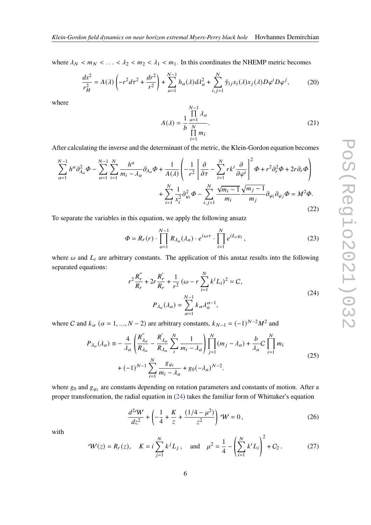where  $\lambda_N < m_N < \ldots < \lambda_2 < m_2 < \lambda_1 < m_1$ . In this coordinates the NHEMP metric becomes

$$
\frac{ds^2}{r_H^2} = A(\lambda) \left( -r^2 d\tau^2 + \frac{dr^2}{r^2} \right) + \sum_{a=1}^{N-1} h_a(\lambda) d\lambda_a^2 + \sum_{i,j=1}^N \tilde{\gamma}_{ij} x_i(\lambda) x_j(\lambda) D\varphi^i D\varphi^j, \tag{20}
$$

where

$$
A(\lambda) = \frac{1}{b} \frac{\prod_{a=1}^{N-1} \lambda_a}{\prod_{i=1}^{N} m_i}.
$$
 (21)

After calculating the inverse and the determinant of the metric, the Klein-Gordon equation becomes

$$
\sum_{a=1}^{N-1} h^a \partial_{\lambda_a}^2 \Phi - \sum_{a=1}^{N-1} \sum_{i=1}^N \frac{h^a}{m_i - \lambda_a} \partial_{\lambda_a} \Phi + \frac{1}{A(\lambda)} \left( -\frac{1}{r^2} \left[ \frac{\partial}{\partial \tau} - \sum_{i=1}^N r k^i \frac{\partial}{\partial \varphi^i} \right]^2 \Phi + r^2 \partial_r^2 \Phi + 2r \partial_r \Phi \right) + \sum_{i=1}^N \frac{1}{x_i^2} \partial_{\varphi_i}^2 \Phi - \sum_{i,j=1}^N \frac{\sqrt{m_i - 1}}{m_i} \frac{\sqrt{m_j - 1}}{m_j} \partial_{\varphi_i} \partial_{\varphi_j} \Phi = M^2 \Phi.
$$
\n(22)

To separate the variables in this equation, we apply the following ansatz

$$
\Phi = R_r(r) \cdot \prod_{a=1}^{N-1} R_{\lambda_a}(\lambda_a) \cdot e^{i\omega \tau} \cdot \prod_{i=1}^N e^{iL_i \varphi_i}, \qquad (23)
$$

where  $\omega$  and  $L_i$  are arbitrary constants. The application of this anstaz results into the following separated equations:

<span id="page-5-0"></span>
$$
r^{2} \frac{R'_{r}}{R_{r}} + 2r \frac{R'_{r}}{R_{r}} + \frac{1}{r^{2}} (\omega - r \sum_{i=1}^{N} k^{i} L_{i})^{2} = C,
$$
  

$$
P_{\lambda_{a}}(\lambda_{a}) = \sum_{\alpha=1}^{N-1} k_{\alpha} \lambda_{a}^{\alpha-1},
$$
 (24)

where C and  $k_{\alpha}$  ( $\alpha = 1, ..., N - 2$ ) are arbitrary constants,  $k_{N-1} = (-1)^{N-2}M^2$  and

$$
P_{\lambda_a}(\lambda_a) = -\frac{4}{\lambda_a} \left( \frac{R_{\lambda_a}''}{R_{\lambda_a}} - \frac{R_{\lambda_a}'}{R_{\lambda_a}} \sum_{i}^{N} \frac{1}{m_i - \lambda_a} \right) \prod_{j=1}^{N} (m_j - \lambda_a) + \frac{b}{\lambda_a} C \prod_{i=1}^{N} m_i
$$
  
+  $(-1)^{N-1} \sum_{i=1}^{N} \frac{g_{\varphi_i}}{m_i - \lambda_a} + g_0(-\lambda_a)^{N-2}.$  (25)

where  $g_0$  and  $g_{\varphi_i}$  are constants depending on rotation parameters and constants of motion. After a proper transformation, the radial equation in [\(24\)](#page-5-0) takes the familiar form of Whittaker's equation

$$
\frac{d^2W}{dz^2} + \left(-\frac{1}{4} + \frac{K}{z} + \frac{(1/4 - \mu^2)}{z^2}\right)W = 0,
$$
\n(26)

with

$$
\mathcal{W}(z) = R_r(z), \quad K = i \sum_{j=1}^{N} k^j L_j, \quad \text{and} \quad \mu^2 = \frac{1}{4} - \left( \sum_{i=1}^{N} k^i L_i \right)^2 + C_2. \tag{27}
$$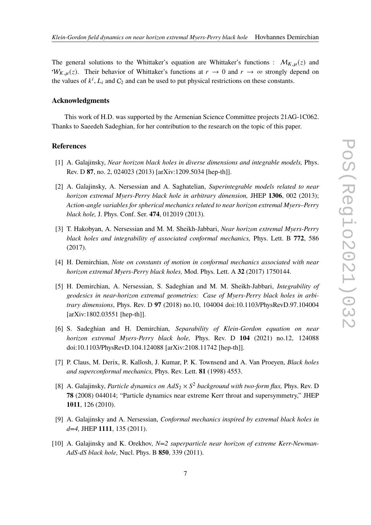The general solutions to the Whittaker's equation are Whittaker's functions :  $\mathcal{M}_{K,u}(z)$  and  $W_{K,\mu}(z)$ . Their behavior of Whittaker's functions at  $r \to 0$  and  $r \to \infty$  strongly depend on the values of  $k^i$ ,  $L_i$  and  $C_2$  and can be used to put physical restrictions on these constants.

#### **Acknowledgments**

This work of H.D. was supported by the Armenian Science Committee projects 21AG-1C062. Thanks to Saeedeh Sadeghian, for her contribution to the research on the topic of this paper.

## **References**

- <span id="page-6-0"></span>[1] A. Galajinsky, *Near horizon black holes in diverse dimensions and integrable models,* Phys. Rev. D **87**, no. 2, 024023 (2013) [arXiv:1209.5034 [hep-th]].
- <span id="page-6-1"></span>[2] A. Galajinsky, A. Nersessian and A. Saghatelian, *Superintegrable models related to near horizon extremal Myers-Perry black hole in arbitrary dimension,* JHEP **1306**, 002 (2013); *Action-angle variables for spherical mechanics related to near horizon extremal Myers–Perry black hole,* J. Phys. Conf. Ser. **474**, 012019 (2013).
- <span id="page-6-2"></span>[3] T. Hakobyan, A. Nersessian and M. M. Sheikh-Jabbari, *Near horizon extremal Myers-Perry black holes and integrability of associated conformal mechanics,* Phys. Lett. B **772**, 586 (2017).
- <span id="page-6-3"></span>[4] H. Demirchian, *Note on constants of motion in conformal mechanics associated with near horizon extremal Myers-Perry black holes,* Mod. Phys. Lett. A **32** (2017) 1750144.
- <span id="page-6-4"></span>[5] H. Demirchian, A. Nersessian, S. Sadeghian and M. M. Sheikh-Jabbari, *Integrability of geodesics in near-horizon extremal geometries: Case of Myers-Perry black holes in arbitrary dimensions*, Phys. Rev. D **97** (2018) no.10, 104004 doi:10.1103/PhysRevD.97.104004 [arXiv:1802.03551 [hep-th]].
- <span id="page-6-5"></span>[6] S. Sadeghian and H. Demirchian, *Separability of Klein-Gordon equation on near horizon extremal Myers-Perry black hole,* Phys. Rev. D **104** (2021) no.12, 124088 doi:10.1103/PhysRevD.104.124088 [arXiv:2108.11742 [hep-th]].
- <span id="page-6-6"></span>[7] P. Claus, M. Derix, R. Kallosh, J. Kumar, P. K. Townsend and A. Van Proeyen, *Black holes and superconformal mechanics,* Phys. Rev. Lett. **81** (1998) 4553.
- <span id="page-6-7"></span>[8] A. Galajinsky, *Particle dynamics on*  $AdS_2 \times S^2$  *background with two-form flux*, *Phys. Rev. D* **78** (2008) 044014; "Particle dynamics near extreme Kerr throat and supersymmetry," JHEP **1011**, 126 (2010).
- [9] A. Galajinsky and A. Nersessian, *Conformal mechanics inspired by extremal black holes in d=4,* JHEP **1111**, 135 (2011).
- [10] A. Galajinsky and K. Orekhov, *N=2 superparticle near horizon of extreme Kerr-Newman-AdS-dS black hole,* Nucl. Phys. B **850**, 339 (2011).